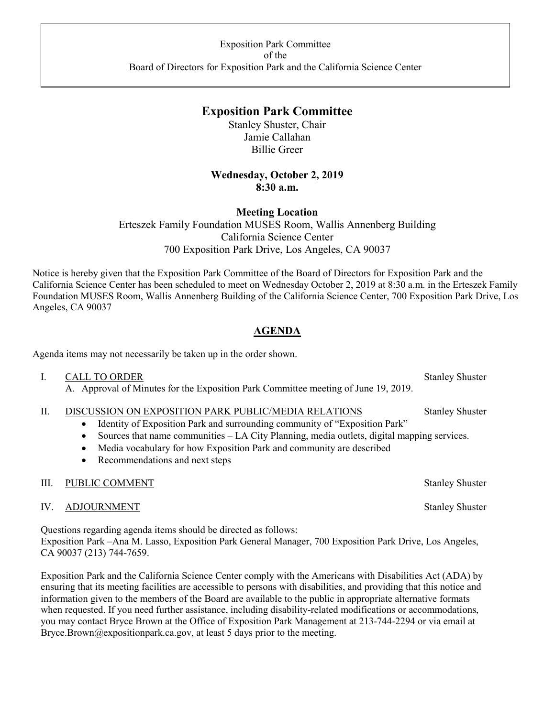# **Exposition Park Committee**

Stanley Shuster, Chair Jamie Callahan Billie Greer

### **Wednesday, October 2, 2019 8:30 a.m.**

### **Meeting Location**

Erteszek Family Foundation MUSES Room, Wallis Annenberg Building California Science Center 700 Exposition Park Drive, Los Angeles, CA 90037

Notice is hereby given that the Exposition Park Committee of the Board of Directors for Exposition Park and the California Science Center has been scheduled to meet on Wednesday October 2, 2019 at 8:30 a.m. in the Erteszek Family Foundation MUSES Room, Wallis Annenberg Building of the California Science Center, 700 Exposition Park Drive, Los Angeles, CA 90037

## **AGENDA**

Agenda items may not necessarily be taken up in the order shown.

- I. CALL TO ORDER Stanley Shuster
	- A. Approval of Minutes for the Exposition Park Committee meeting of June 19, 2019.
- II. DISCUSSION ON EXPOSITION PARK PUBLIC/MEDIA RELATIONS Stanley Shuster
	- Identity of Exposition Park and surrounding community of "Exposition Park"
	- Sources that name communities LA City Planning, media outlets, digital mapping services.
	- Media vocabulary for how Exposition Park and community are described
	- Recommendations and next steps

#### III. PUBLIC COMMENT Stanley Shuster

IV. ADJOURNMENT Stanley Shuster

Questions regarding agenda items should be directed as follows: Exposition Park –Ana M. Lasso, Exposition Park General Manager, 700 Exposition Park Drive, Los Angeles, CA 90037 (213) 744-7659.

Exposition Park and the California Science Center comply with the Americans with Disabilities Act (ADA) by ensuring that its meeting facilities are accessible to persons with disabilities, and providing that this notice and information given to the members of the Board are available to the public in appropriate alternative formats when requested. If you need further assistance, including disability-related modifications or accommodations, you may contact Bryce Brown at the Office of Exposition Park Management at 213-744-2294 or via email at [Bryce.Brown@expositionpark.ca.gov](mailto:Bryce.Brown@expositionpark.ca.gov), at least 5 days prior to the meeting.